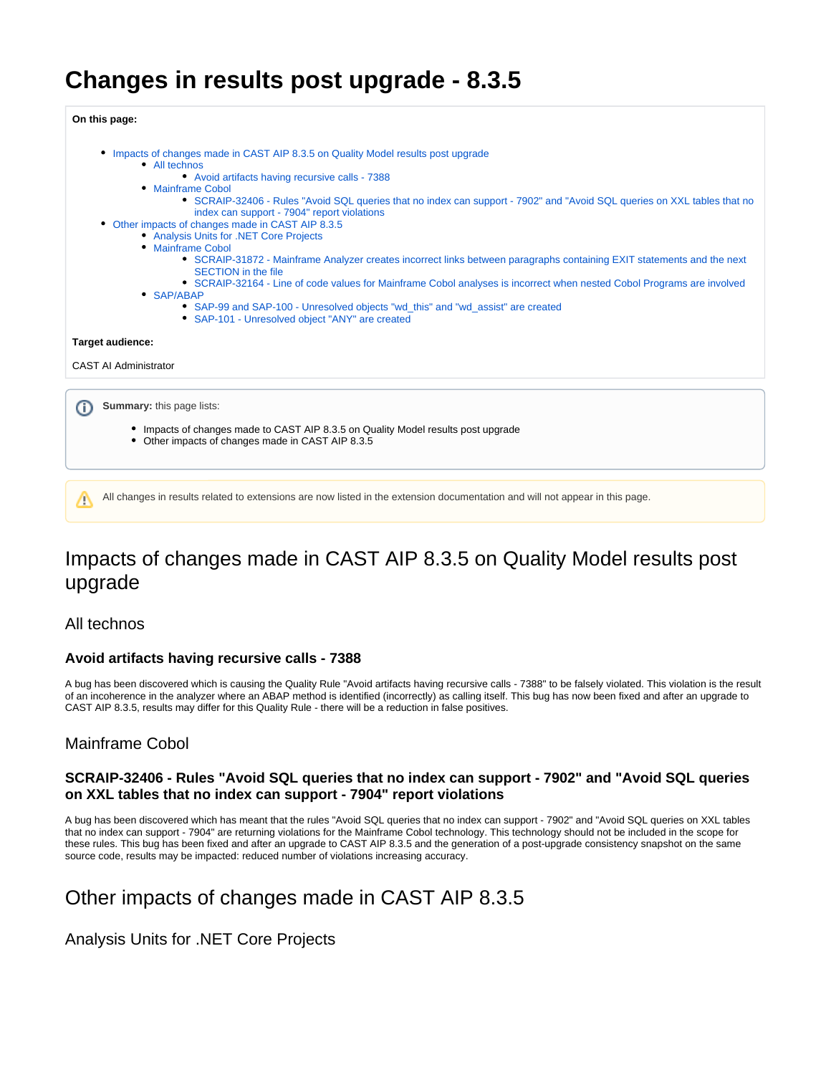# **Changes in results post upgrade - 8.3.5**

**On this page:**

- [Impacts of changes made in CAST AIP 8.3.5 on Quality Model results post upgrade](#page-0-0)
	- [All technos](#page-0-1)
		- [Avoid artifacts having recursive calls 7388](#page-0-2)
	- [Mainframe Cobol](#page-0-3)
		- [SCRAIP-32406 Rules "Avoid SQL queries that no index can support 7902" and "Avoid SQL queries on XXL tables that no](#page-0-4)  [index can support - 7904" report violations](#page-0-4)
- [Other impacts of changes made in CAST AIP 8.3.5](#page-0-5)
	- [Analysis Units for .NET Core Projects](#page-0-6)
	- [Mainframe Cobol](#page-1-0)
		- [SCRAIP-31872 Mainframe Analyzer creates incorrect links between paragraphs containing EXIT statements and the next](#page-1-1)  [SECTION in the file](#page-1-1)
		- [SCRAIP-32164 Line of code values for Mainframe Cobol analyses is incorrect when nested Cobol Programs are involved](#page-1-2)
	- [SAP/ABAP](#page-1-3)
		- [SAP-99 and SAP-100 Unresolved objects "wd\\_this" and "wd\\_assist" are created](#page-1-4)
		- [SAP-101 Unresolved object "ANY" are created](#page-1-5)

#### **Target audience:**

CAST AI Administrator

**Summary:** this page lists: (i)

- Impacts of changes made to CAST AIP 8.3.5 on Quality Model results post upgrade
- Other impacts of changes made in CAST AIP 8.3.5

All changes in results related to extensions are now listed in the extension documentation and will not appear in this page.Δ

## <span id="page-0-0"></span>Impacts of changes made in CAST AIP 8.3.5 on Quality Model results post upgrade

### <span id="page-0-1"></span>All technos

### <span id="page-0-2"></span>**Avoid artifacts having recursive calls - 7388**

A bug has been discovered which is causing the Quality Rule "Avoid artifacts having recursive calls - 7388" to be falsely violated. This violation is the result of an incoherence in the analyzer where an ABAP method is identified (incorrectly) as calling itself. This bug has now been fixed and after an upgrade to CAST AIP 8.3.5, results may differ for this Quality Rule - there will be a reduction in false positives.

### <span id="page-0-3"></span>Mainframe Cobol

### <span id="page-0-4"></span>**SCRAIP-32406 - Rules "Avoid SQL queries that no index can support - 7902" and "Avoid SQL queries on XXL tables that no index can support - 7904" report violations**

A bug has been discovered which has meant that the rules "Avoid SQL queries that no index can support - 7902" and "Avoid SQL queries on XXL tables that no index can support - 7904" are returning violations for the Mainframe Cobol technology. This technology should not be included in the scope for these rules. This bug has been fixed and after an upgrade to CAST AIP 8.3.5 and the generation of a post-upgrade consistency snapshot on the same source code, results may be impacted: reduced number of violations increasing accuracy.

## <span id="page-0-5"></span>Other impacts of changes made in CAST AIP 8.3.5

<span id="page-0-6"></span>Analysis Units for .NET Core Projects